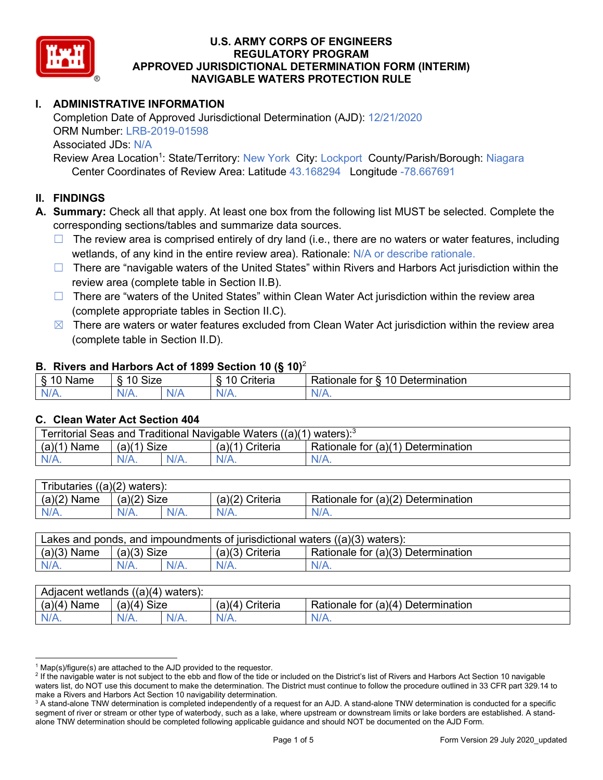

# **I. ADMINISTRATIVE INFORMATION**

Completion Date of Approved Jurisdictional Determination (AJD): 12/21/2020 ORM Number: LRB-2019-01598 Associated JDs: N/A

Review Area Location<sup>1</sup>: State/Territory: New York City: Lockport County/Parish/Borough: Niagara Center Coordinates of Review Area: Latitude 43.168294 Longitude -78.667691

### **II. FINDINGS**

**A. Summary:** Check all that apply. At least one box from the following list MUST be selected. Complete the corresponding sections/tables and summarize data sources.

- $\Box$  The review area is comprised entirely of dry land (i.e., there are no waters or water features, including wetlands, of any kind in the entire review area). Rationale: N/A or describe rationale.
- $\Box$  There are "navigable waters of the United States" within Rivers and Harbors Act jurisdiction within the review area (complete table in Section II.B).
- $\Box$  There are "waters of the United States" within Clean Water Act jurisdiction within the review area (complete appropriate tables in Section II.C).
- $\boxtimes$  There are waters or water features excluded from Clean Water Act jurisdiction within the review area (complete table in Section II.D).

#### **B. Rivers and Harbors Act of 1899 Section 10 (§ 10)**<sup>2</sup>

| я<br><b></b><br>'vame'<br>υ<br>ູ | Size<br>$\overline{A}$ |     | $\overline{A}$ $\overline{C}$<br>`rıterıa | $\overline{\phantom{a}}$<br>10<br>Jetermination<br>$\sim$<br>tor<br>kationale: |  |  |  |  |
|----------------------------------|------------------------|-----|-------------------------------------------|--------------------------------------------------------------------------------|--|--|--|--|
| N/L                              | "<br>'V/A.             | NIA | N/L<br>97 / TV                            | <b>IIA</b><br>n.<br>11 I N.                                                    |  |  |  |  |

#### **C. Clean Water Act Section 404**

| Territorial Seas and Traditional Navigable Waters ((a)(1)<br>waters): $3$ |                |  |                   |                                    |  |  |
|---------------------------------------------------------------------------|----------------|--|-------------------|------------------------------------|--|--|
| (a)(1)<br>Name                                                            | Size<br>(a)(1) |  | $(a)(1)$ Criteria | Rationale for (a)(1) Determination |  |  |
|                                                                           | N/A.           |  | $N/A$ .           | $N/A$ .                            |  |  |

| Tributaries<br>$((a)(2)$ waters): |                |         |                    |                                    |  |  |  |
|-----------------------------------|----------------|---------|--------------------|------------------------------------|--|--|--|
| (a)(2)<br>Name                    | (a)(2)<br>Size |         | (a)(2)<br>Criteria | Rationale for (a)(2) Determination |  |  |  |
| $N/A$ .                           | $N/A$ .        | $N/A$ . | $N/A$ .            | N/A.                               |  |  |  |

| Lakes and ponds, and impoundments of jurisdictional waters $((a)(3)$ waters): |               |         |                   |                                    |  |  |
|-------------------------------------------------------------------------------|---------------|---------|-------------------|------------------------------------|--|--|
| $(a)(3)$ Name                                                                 | $(a)(3)$ Size |         | $(a)(3)$ Criteria | Rationale for (a)(3) Determination |  |  |
| $N/A$ .                                                                       |               | $N/A$ . | $N/A$ .           | $N/A$ .                            |  |  |

| Adjacent<br>((a)(4)<br>) waters):<br>wetlands |                       |         |                   |                                          |  |  |  |
|-----------------------------------------------|-----------------------|---------|-------------------|------------------------------------------|--|--|--|
| (a)(4)<br>Name                                | (a)(4)<br><b>Size</b> |         | (a)(4<br>Criteria | (a)(4)<br>Rationale for<br>Determination |  |  |  |
| N/A.                                          | $N/A$ .               | $N/A$ . | $N/A$ .           | $N/A$ .                                  |  |  |  |

 $^1$  Map(s)/figure(s) are attached to the AJD provided to the requestor.<br><sup>2</sup> If the navigable water is not subject to the ebb and flow of the tide or included on the District's list of Rivers and Harbors Act Section 10 na waters list, do NOT use this document to make the determination. The District must continue to follow the procedure outlined in 33 CFR part 329.14 to make a Rivers and Harbors Act Section 10 navigability determination.

<sup>&</sup>lt;sup>3</sup> A stand-alone TNW determination is completed independently of a request for an AJD. A stand-alone TNW determination is conducted for a specific segment of river or stream or other type of waterbody, such as a lake, where upstream or downstream limits or lake borders are established. A standalone TNW determination should be completed following applicable guidance and should NOT be documented on the AJD Form.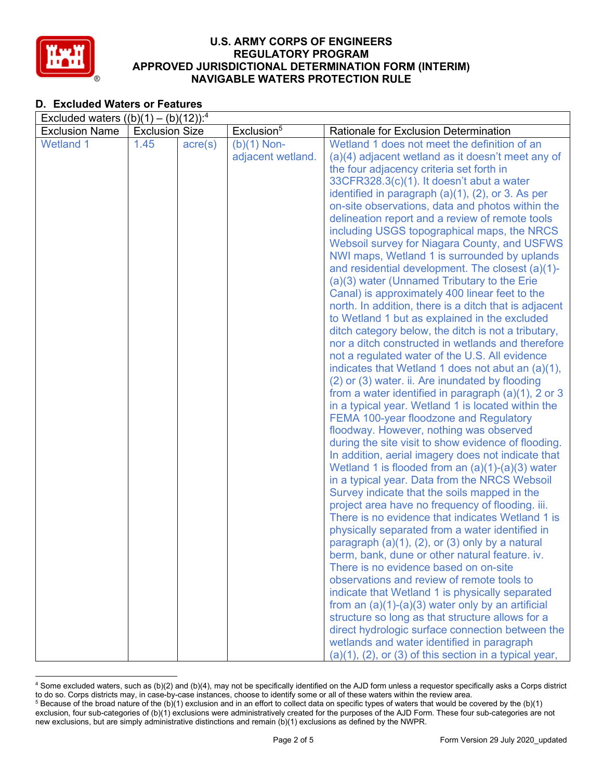

# **D. Excluded Waters or Features**

| Excluded waters $((b)(1) - (b)(12))$ : <sup>4</sup> |                       |                  |                        |                                                                                                          |  |  |  |  |  |
|-----------------------------------------------------|-----------------------|------------------|------------------------|----------------------------------------------------------------------------------------------------------|--|--|--|--|--|
| <b>Exclusion Name</b>                               | <b>Exclusion Size</b> |                  | Exclusion <sup>5</sup> | Rationale for Exclusion Determination                                                                    |  |  |  |  |  |
| <b>Wetland 1</b>                                    | 1.45                  | $\text{acre}(s)$ | $(b)(1)$ Non-          | Wetland 1 does not meet the definition of an                                                             |  |  |  |  |  |
|                                                     |                       |                  | adjacent wetland.      | (a)(4) adjacent wetland as it doesn't meet any of                                                        |  |  |  |  |  |
|                                                     |                       |                  |                        | the four adjacency criteria set forth in                                                                 |  |  |  |  |  |
|                                                     |                       |                  |                        | $33CFR328.3(c)(1)$ . It doesn't abut a water                                                             |  |  |  |  |  |
|                                                     |                       |                  |                        | identified in paragraph $(a)(1)$ , $(2)$ , or 3. As per                                                  |  |  |  |  |  |
|                                                     |                       |                  |                        | on-site observations, data and photos within the                                                         |  |  |  |  |  |
|                                                     |                       |                  |                        | delineation report and a review of remote tools                                                          |  |  |  |  |  |
|                                                     |                       |                  |                        | including USGS topographical maps, the NRCS                                                              |  |  |  |  |  |
|                                                     |                       |                  |                        | Websoil survey for Niagara County, and USFWS                                                             |  |  |  |  |  |
|                                                     |                       |                  |                        | NWI maps, Wetland 1 is surrounded by uplands                                                             |  |  |  |  |  |
|                                                     |                       |                  |                        | and residential development. The closest (a)(1)-                                                         |  |  |  |  |  |
|                                                     |                       |                  |                        | (a)(3) water (Unnamed Tributary to the Erie                                                              |  |  |  |  |  |
|                                                     |                       |                  |                        | Canal) is approximately 400 linear feet to the                                                           |  |  |  |  |  |
|                                                     |                       |                  |                        | north. In addition, there is a ditch that is adjacent                                                    |  |  |  |  |  |
|                                                     |                       |                  |                        | to Wetland 1 but as explained in the excluded                                                            |  |  |  |  |  |
|                                                     |                       |                  |                        | ditch category below, the ditch is not a tributary,<br>nor a ditch constructed in wetlands and therefore |  |  |  |  |  |
|                                                     |                       |                  |                        | not a regulated water of the U.S. All evidence                                                           |  |  |  |  |  |
|                                                     |                       |                  |                        | indicates that Wetland 1 does not abut an (a)(1),                                                        |  |  |  |  |  |
|                                                     |                       |                  |                        | (2) or (3) water. ii. Are inundated by flooding                                                          |  |  |  |  |  |
|                                                     |                       |                  |                        | from a water identified in paragraph $(a)(1)$ , 2 or 3                                                   |  |  |  |  |  |
|                                                     |                       |                  |                        | in a typical year. Wetland 1 is located within the                                                       |  |  |  |  |  |
|                                                     |                       |                  |                        | <b>FEMA 100-year floodzone and Regulatory</b>                                                            |  |  |  |  |  |
|                                                     |                       |                  |                        | floodway. However, nothing was observed                                                                  |  |  |  |  |  |
|                                                     |                       |                  |                        | during the site visit to show evidence of flooding.                                                      |  |  |  |  |  |
|                                                     |                       |                  |                        | In addition, aerial imagery does not indicate that                                                       |  |  |  |  |  |
|                                                     |                       |                  |                        | Wetland 1 is flooded from an $(a)(1)-(a)(3)$ water                                                       |  |  |  |  |  |
|                                                     |                       |                  |                        | in a typical year. Data from the NRCS Websoil                                                            |  |  |  |  |  |
|                                                     |                       |                  |                        | Survey indicate that the soils mapped in the                                                             |  |  |  |  |  |
|                                                     |                       |                  |                        | project area have no frequency of flooding. iii.                                                         |  |  |  |  |  |
|                                                     |                       |                  |                        | There is no evidence that indicates Wetland 1 is                                                         |  |  |  |  |  |
|                                                     |                       |                  |                        | physically separated from a water identified in                                                          |  |  |  |  |  |
|                                                     |                       |                  |                        | paragraph (a)(1), (2), or (3) only by a natural                                                          |  |  |  |  |  |
|                                                     |                       |                  |                        | berm, bank, dune or other natural feature. iv.                                                           |  |  |  |  |  |
|                                                     |                       |                  |                        | There is no evidence based on on-site                                                                    |  |  |  |  |  |
|                                                     |                       |                  |                        | observations and review of remote tools to                                                               |  |  |  |  |  |
|                                                     |                       |                  |                        | indicate that Wetland 1 is physically separated                                                          |  |  |  |  |  |
|                                                     |                       |                  |                        | from an $(a)(1)-(a)(3)$ water only by an artificial                                                      |  |  |  |  |  |
|                                                     |                       |                  |                        | structure so long as that structure allows for a                                                         |  |  |  |  |  |
|                                                     |                       |                  |                        | direct hydrologic surface connection between the                                                         |  |  |  |  |  |
|                                                     |                       |                  |                        | wetlands and water identified in paragraph                                                               |  |  |  |  |  |
|                                                     |                       |                  |                        | $(a)(1)$ , $(2)$ , or $(3)$ of this section in a typical year,                                           |  |  |  |  |  |

<sup>4</sup> Some excluded waters, such as (b)(2) and (b)(4), may not be specifically identified on the AJD form unless a requestor specifically asks a Corps district to do so. Corps districts may, in case-by-case instances, choose to identify some or all of these waters within the review area.  $5$  Because of the broad nature of the (b)(1) exclusion and in an effort to collect data on specific types of waters that would be covered by the (b)(1)

exclusion, four sub-categories of (b)(1) exclusions were administratively created for the purposes of the AJD Form. These four sub-categories are not new exclusions, but are simply administrative distinctions and remain (b)(1) exclusions as defined by the NWPR.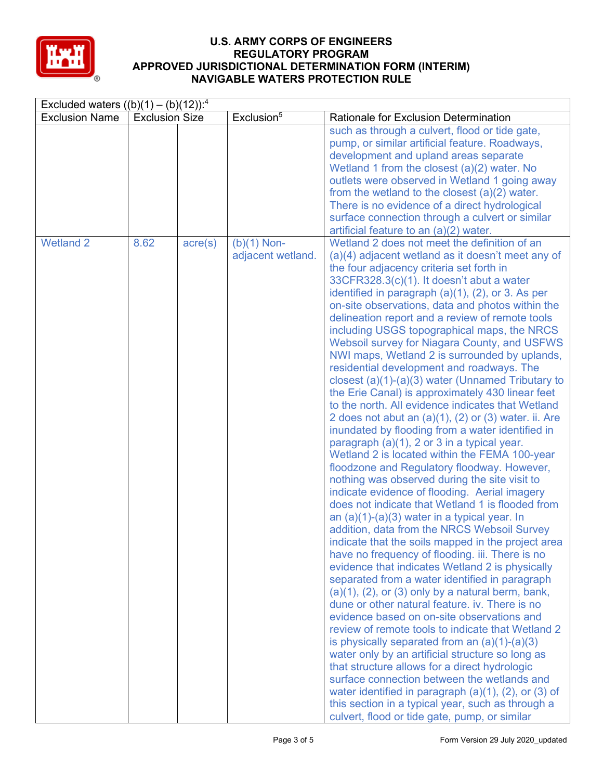

| Excluded waters $((b)(1) - (b)(12))$ : <sup>4</sup> |                       |                  |                                    |                                                                                                                                                                                                                                                                                                                                                                                                                                                                                                                                                                                                                                                                                                                                                                                                                                                                                                                                                                                                                                                                                                                                                                                                                                                                                                                                                                                                                                                                                                                                                                                                                                                                                                                                                                                                                                                                                                                                                                                                                                                                 |  |  |  |
|-----------------------------------------------------|-----------------------|------------------|------------------------------------|-----------------------------------------------------------------------------------------------------------------------------------------------------------------------------------------------------------------------------------------------------------------------------------------------------------------------------------------------------------------------------------------------------------------------------------------------------------------------------------------------------------------------------------------------------------------------------------------------------------------------------------------------------------------------------------------------------------------------------------------------------------------------------------------------------------------------------------------------------------------------------------------------------------------------------------------------------------------------------------------------------------------------------------------------------------------------------------------------------------------------------------------------------------------------------------------------------------------------------------------------------------------------------------------------------------------------------------------------------------------------------------------------------------------------------------------------------------------------------------------------------------------------------------------------------------------------------------------------------------------------------------------------------------------------------------------------------------------------------------------------------------------------------------------------------------------------------------------------------------------------------------------------------------------------------------------------------------------------------------------------------------------------------------------------------------------|--|--|--|
| <b>Exclusion Name</b>                               | <b>Exclusion Size</b> |                  | Exclusion <sup>5</sup>             | Rationale for Exclusion Determination                                                                                                                                                                                                                                                                                                                                                                                                                                                                                                                                                                                                                                                                                                                                                                                                                                                                                                                                                                                                                                                                                                                                                                                                                                                                                                                                                                                                                                                                                                                                                                                                                                                                                                                                                                                                                                                                                                                                                                                                                           |  |  |  |
|                                                     |                       |                  |                                    | such as through a culvert, flood or tide gate,<br>pump, or similar artificial feature. Roadways,<br>development and upland areas separate<br>Wetland 1 from the closest $(a)(2)$ water. No<br>outlets were observed in Wetland 1 going away<br>from the wetland to the closest $(a)(2)$ water.<br>There is no evidence of a direct hydrological<br>surface connection through a culvert or similar<br>artificial feature to an (a)(2) water.                                                                                                                                                                                                                                                                                                                                                                                                                                                                                                                                                                                                                                                                                                                                                                                                                                                                                                                                                                                                                                                                                                                                                                                                                                                                                                                                                                                                                                                                                                                                                                                                                    |  |  |  |
| <b>Wetland 2</b>                                    | 8.62                  | $\text{acre}(s)$ | $(b)(1)$ Non-<br>adjacent wetland. | Wetland 2 does not meet the definition of an<br>(a)(4) adjacent wetland as it doesn't meet any of<br>the four adjacency criteria set forth in<br>33CFR328.3(c)(1). It doesn't abut a water<br>identified in paragraph $(a)(1)$ , $(2)$ , or 3. As per<br>on-site observations, data and photos within the<br>delineation report and a review of remote tools<br>including USGS topographical maps, the NRCS<br>Websoil survey for Niagara County, and USFWS<br>NWI maps, Wetland 2 is surrounded by uplands,<br>residential development and roadways. The<br>closest $(a)(1)-(a)(3)$ water (Unnamed Tributary to<br>the Erie Canal) is approximately 430 linear feet<br>to the north. All evidence indicates that Wetland<br>2 does not abut an $(a)(1)$ , $(2)$ or $(3)$ water. ii. Are<br>inundated by flooding from a water identified in<br>paragraph (a)(1), 2 or 3 in a typical year.<br>Wetland 2 is located within the FEMA 100-year<br>floodzone and Regulatory floodway. However,<br>nothing was observed during the site visit to<br>indicate evidence of flooding. Aerial imagery<br>does not indicate that Wetland 1 is flooded from<br>an $(a)(1)-(a)(3)$ water in a typical year. In<br>addition, data from the NRCS Websoil Survey<br>indicate that the soils mapped in the project area<br>have no frequency of flooding. iii. There is no<br>evidence that indicates Wetland 2 is physically<br>separated from a water identified in paragraph<br>$(a)(1)$ , $(2)$ , or $(3)$ only by a natural berm, bank,<br>dune or other natural feature, iv. There is no<br>evidence based on on-site observations and<br>review of remote tools to indicate that Wetland 2<br>is physically separated from an $(a)(1)-(a)(3)$<br>water only by an artificial structure so long as<br>that structure allows for a direct hydrologic<br>surface connection between the wetlands and<br>water identified in paragraph $(a)(1)$ , $(2)$ , or $(3)$ of<br>this section in a typical year, such as through a<br>culvert, flood or tide gate, pump, or similar |  |  |  |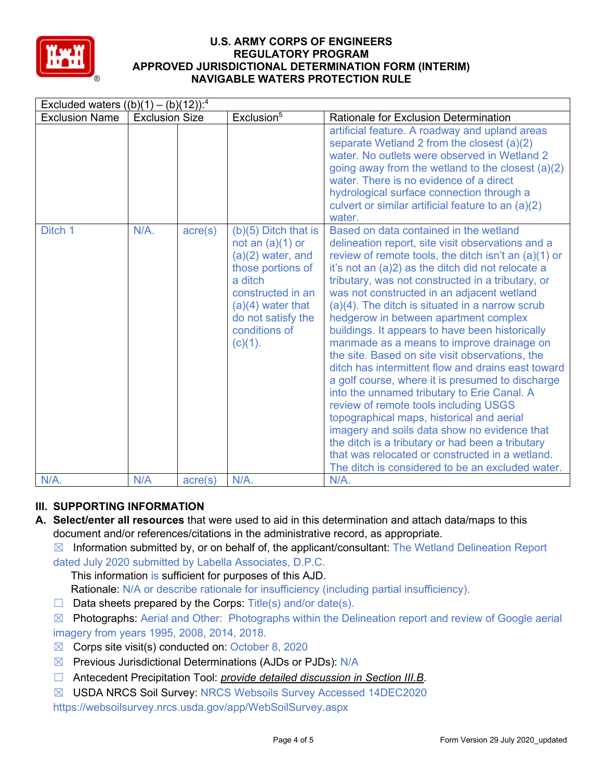

|                       | Excluded waters $((b)(1) - (b)(12))$ : <sup>4</sup> |                  |                                                                                                                                                                                                      |                                                                                                                                                                                                                                                                                                                                                                                                                                                                                                                                                                                                                                                                                                                                                                                                                                                                                                                                                                                                                        |  |  |  |  |
|-----------------------|-----------------------------------------------------|------------------|------------------------------------------------------------------------------------------------------------------------------------------------------------------------------------------------------|------------------------------------------------------------------------------------------------------------------------------------------------------------------------------------------------------------------------------------------------------------------------------------------------------------------------------------------------------------------------------------------------------------------------------------------------------------------------------------------------------------------------------------------------------------------------------------------------------------------------------------------------------------------------------------------------------------------------------------------------------------------------------------------------------------------------------------------------------------------------------------------------------------------------------------------------------------------------------------------------------------------------|--|--|--|--|
| <b>Exclusion Name</b> | <b>Exclusion Size</b>                               |                  | Exclusion <sup>5</sup>                                                                                                                                                                               | <b>Rationale for Exclusion Determination</b>                                                                                                                                                                                                                                                                                                                                                                                                                                                                                                                                                                                                                                                                                                                                                                                                                                                                                                                                                                           |  |  |  |  |
|                       |                                                     |                  |                                                                                                                                                                                                      | artificial feature. A roadway and upland areas<br>separate Wetland 2 from the closest (a)(2)<br>water. No outlets were observed in Wetland 2<br>going away from the wetland to the closest $(a)(2)$<br>water. There is no evidence of a direct<br>hydrological surface connection through a<br>culvert or similar artificial feature to an (a)(2)<br>water.                                                                                                                                                                                                                                                                                                                                                                                                                                                                                                                                                                                                                                                            |  |  |  |  |
| Ditch 1               | $N/A$ .                                             | $\text{acre}(s)$ | $(b)(5)$ Ditch that is<br>not an $(a)(1)$ or<br>$(a)(2)$ water, and<br>those portions of<br>a ditch<br>constructed in an<br>$(a)(4)$ water that<br>do not satisfy the<br>conditions of<br>$(c)(1)$ . | Based on data contained in the wetland<br>delineation report, site visit observations and a<br>review of remote tools, the ditch isn't an $(a)(1)$ or<br>it's not an (a)2) as the ditch did not relocate a<br>tributary, was not constructed in a tributary, or<br>was not constructed in an adjacent wetland<br>(a)(4). The ditch is situated in a narrow scrub<br>hedgerow in between apartment complex<br>buildings. It appears to have been historically<br>manmade as a means to improve drainage on<br>the site. Based on site visit observations, the<br>ditch has intermittent flow and drains east toward<br>a golf course, where it is presumed to discharge<br>into the unnamed tributary to Erie Canal. A<br>review of remote tools including USGS<br>topographical maps, historical and aerial<br>imagery and soils data show no evidence that<br>the ditch is a tributary or had been a tributary<br>that was relocated or constructed in a wetland.<br>The ditch is considered to be an excluded water. |  |  |  |  |
| N/A.                  | N/A                                                 | $\text{acre}(s)$ | N/A.                                                                                                                                                                                                 | N/A.                                                                                                                                                                                                                                                                                                                                                                                                                                                                                                                                                                                                                                                                                                                                                                                                                                                                                                                                                                                                                   |  |  |  |  |

# **III. SUPPORTING INFORMATION**

- **A. Select/enter all resources** that were used to aid in this determination and attach data/maps to this document and/or references/citations in the administrative record, as appropriate.
	- $\boxtimes$  Information submitted by, or on behalf of, the applicant/consultant: The Wetland Delineation Report dated July 2020 submitted by Labella Associates, D.P.C.
		- This information is sufficient for purposes of this AJD.
		- Rationale: N/A or describe rationale for insufficiency (including partial insufficiency).
	- $\Box$  Data sheets prepared by the Corps: Title(s) and/or date(s).
	- ☒ Photographs: Aerial and Other: Photographs within the Delineation report and review of Google aerial imagery from years 1995, 2008, 2014, 2018.
	- $\boxtimes$  Corps site visit(s) conducted on: October 8, 2020
	- $\boxtimes$  Previous Jurisdictional Determinations (AJDs or PJDs): N/A
	- ☐ Antecedent Precipitation Tool: *provide detailed discussion in Section III.B*.
	- ☒ USDA NRCS Soil Survey: NRCS Websoils Survey Accessed 14DEC2020

https://websoilsurvey.nrcs.usda.gov/app/WebSoilSurvey.aspx